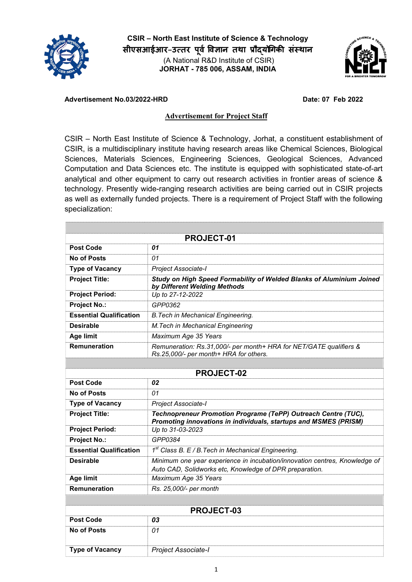

CSIR – North East Institute of Science & Technology सीएसआईआर–उत्तर पूर्व विज्ञान तथा प्रौद्योगिकी संस्थान **(A National R&D Institute of CSIR)** JORHAT - 785 006, ASSAM, INDIA



## Advertisement No.03/2022-HRD Date: 07 Feb 2022

## Advertisement for Project Staff

**CSIR – North East Institute of Science & Technology, Jorhat, a constituent establishment of CSIR, is a multidisciplinary institute having research areas like Chemical Sciences, Biological Sciences, Materials Sciences, Engineering Sciences, Geological Sciences, Advanced Computation and Data Sciences etc. The institute is equipped with sophisticated state-of-art analytical and other equipment to carry out research activities in frontier areas of science & technology. Presently wide-ranging research activities are being carried out in CSIR projects as well as externally funded projects. There is a requirement of Project Staff with the following specialization:**

| <b>PROJECT-01</b>              |                                                                                                                                       |  |
|--------------------------------|---------------------------------------------------------------------------------------------------------------------------------------|--|
| <b>Post Code</b>               | 01                                                                                                                                    |  |
| <b>No of Posts</b>             | 01                                                                                                                                    |  |
| <b>Type of Vacancy</b>         | Project Associate-I                                                                                                                   |  |
| <b>Project Title:</b>          | Study on High Speed Formability of Welded Blanks of Aluminium Joined<br>by Different Welding Methods                                  |  |
| <b>Project Period:</b>         | Up to 27-12-2022                                                                                                                      |  |
| <b>Project No.:</b>            | GPP0362                                                                                                                               |  |
| <b>Essential Qualification</b> | <b>B. Tech in Mechanical Engineering.</b>                                                                                             |  |
| <b>Desirable</b>               | M. Tech in Mechanical Engineering                                                                                                     |  |
| <b>Age limit</b>               | Maximum Age 35 Years                                                                                                                  |  |
| <b>Remuneration</b>            | Remuneration: Rs.31,000/- per month+ HRA for NET/GATE qualifiers &<br>Rs.25,000/- per month+ HRA for others.                          |  |
|                                |                                                                                                                                       |  |
| <b>PROJECT-02</b>              |                                                                                                                                       |  |
| <b>Post Code</b>               | 02                                                                                                                                    |  |
| No of Posts                    | 01                                                                                                                                    |  |
| <b>Type of Vacancy</b>         | Project Associate-I                                                                                                                   |  |
| <b>Project Title:</b>          | Technopreneur Promotion Programe (TePP) Outreach Centre (TUC),<br>Promoting innovations in individuals, startups and MSMES (PRISM)    |  |
| <b>Project Period:</b>         | Up to 31-03-2023                                                                                                                      |  |
| <b>Project No.:</b>            | GPP0384                                                                                                                               |  |
| <b>Essential Qualification</b> | $1st$ Class B. E / B. Tech in Mechanical Engineering.                                                                                 |  |
| <b>Desirable</b>               | Minimum one year experience in incubation/innovation centres, Knowledge of<br>Auto CAD, Solidworks etc, Knowledge of DPR preparation. |  |
| <b>Age limit</b>               | Maximum Age 35 Years                                                                                                                  |  |
| <b>Remuneration</b>            | Rs. 25,000/- per month                                                                                                                |  |
|                                |                                                                                                                                       |  |
| <b>PROJECT-03</b>              |                                                                                                                                       |  |
| <b>Post Code</b>               | 03                                                                                                                                    |  |
| <b>No of Posts</b>             | 01                                                                                                                                    |  |

Type of Vacancy *Project Associate-I*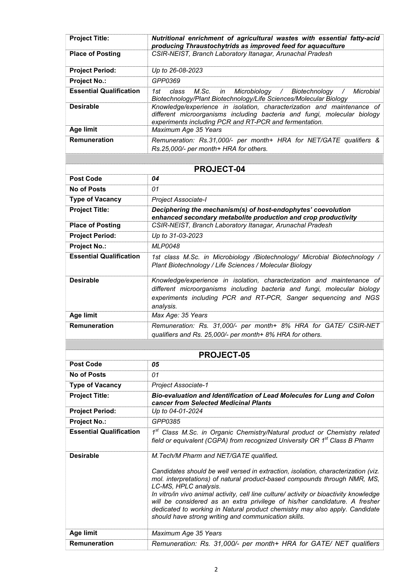| <b>Project Title:</b><br><b>Place of Posting</b> | Nutritional enrichment of agricultural wastes with essential fatty-acid<br>producing Thraustochytrids as improved feed for aquaculture<br>CSIR-NEIST, Branch Laboratory Itanagar, Arunachal Pradesh                                                                                                                                                                                                                                                                                                    |
|--------------------------------------------------|--------------------------------------------------------------------------------------------------------------------------------------------------------------------------------------------------------------------------------------------------------------------------------------------------------------------------------------------------------------------------------------------------------------------------------------------------------------------------------------------------------|
|                                                  |                                                                                                                                                                                                                                                                                                                                                                                                                                                                                                        |
| <b>Project Period:</b>                           | Up to 26-08-2023                                                                                                                                                                                                                                                                                                                                                                                                                                                                                       |
| <b>Project No.:</b>                              | GPP0369                                                                                                                                                                                                                                                                                                                                                                                                                                                                                                |
| <b>Essential Qualification</b>                   | 1st<br>M.Sc.<br>class<br>Microbiology<br>Biotechnology<br>Microbial<br>in<br>$\sqrt{2}$<br>$\prime$<br>Biotechnology/Plant Biotechnology/Life Sciences/Molecular Biology                                                                                                                                                                                                                                                                                                                               |
| <b>Desirable</b>                                 | Knowledge/experience in isolation, characterization and maintenance of<br>different microorganisms including bacteria and fungi, molecular biology<br>experiments including PCR and RT-PCR and fermentation.                                                                                                                                                                                                                                                                                           |
| <b>Age limit</b>                                 | Maximum Age 35 Years                                                                                                                                                                                                                                                                                                                                                                                                                                                                                   |
| Remuneration                                     | Remuneration: Rs.31,000/- per month+ HRA for NET/GATE qualifiers &<br>Rs.25,000/- per month+ HRA for others.                                                                                                                                                                                                                                                                                                                                                                                           |
|                                                  |                                                                                                                                                                                                                                                                                                                                                                                                                                                                                                        |
|                                                  | PROJECT-04                                                                                                                                                                                                                                                                                                                                                                                                                                                                                             |
| <b>Post Code</b>                                 | 04                                                                                                                                                                                                                                                                                                                                                                                                                                                                                                     |
| <b>No of Posts</b>                               | 01                                                                                                                                                                                                                                                                                                                                                                                                                                                                                                     |
| <b>Type of Vacancy</b>                           | Project Associate-I                                                                                                                                                                                                                                                                                                                                                                                                                                                                                    |
| <b>Project Title:</b>                            | Deciphering the mechanism(s) of host-endophytes' coevolution<br>enhanced secondary metabolite production and crop productivity                                                                                                                                                                                                                                                                                                                                                                         |
| <b>Place of Posting</b>                          | CSIR-NEIST, Branch Laboratory Itanagar, Arunachal Pradesh                                                                                                                                                                                                                                                                                                                                                                                                                                              |
| <b>Project Period:</b>                           | Up to 31-03-2023                                                                                                                                                                                                                                                                                                                                                                                                                                                                                       |
| <b>Project No.:</b>                              | <b>MLP0048</b>                                                                                                                                                                                                                                                                                                                                                                                                                                                                                         |
| <b>Essential Qualification</b>                   | 1st class M.Sc. in Microbiology /Biotechnology/ Microbial Biotechnology /<br>Plant Biotechnology / Life Sciences / Molecular Biology                                                                                                                                                                                                                                                                                                                                                                   |
| <b>Desirable</b>                                 | Knowledge/experience in isolation, characterization and maintenance of<br>different microorganisms including bacteria and fungi, molecular biology<br>experiments including PCR and RT-PCR, Sanger sequencing and NGS<br>analysis.                                                                                                                                                                                                                                                                     |
| Age limit                                        | Max Age: 35 Years                                                                                                                                                                                                                                                                                                                                                                                                                                                                                      |
| <b>Remuneration</b>                              | Remuneration: Rs. 31,000/- per month+ 8% HRA for GATE/ CSIR-NET<br>qualifiers and Rs. 25,000/- per month+ 8% HRA for others.                                                                                                                                                                                                                                                                                                                                                                           |
|                                                  |                                                                                                                                                                                                                                                                                                                                                                                                                                                                                                        |
|                                                  | <b>PROJECT-05</b>                                                                                                                                                                                                                                                                                                                                                                                                                                                                                      |
| <b>Post Code</b>                                 | 05                                                                                                                                                                                                                                                                                                                                                                                                                                                                                                     |
| No of Posts                                      | 01                                                                                                                                                                                                                                                                                                                                                                                                                                                                                                     |
| <b>Type of Vacancy</b>                           | Project Associate-1                                                                                                                                                                                                                                                                                                                                                                                                                                                                                    |
| <b>Project Title:</b>                            | Bio-evaluation and Identification of Lead Molecules for Lung and Colon<br><b>cancer from Selected Medicinal Plants</b>                                                                                                                                                                                                                                                                                                                                                                                 |
| <b>Project Period:</b>                           | Up to 04-01-2024<br>GPP0385                                                                                                                                                                                                                                                                                                                                                                                                                                                                            |
| <b>Project No.:</b>                              |                                                                                                                                                                                                                                                                                                                                                                                                                                                                                                        |
| <b>Essential Qualification</b>                   | 1st Class M.Sc. in Organic Chemistry/Natural product or Chemistry related<br>field or equivalent (CGPA) from recognized University OR 1 <sup>st</sup> Class B Pharm                                                                                                                                                                                                                                                                                                                                    |
| <b>Desirable</b>                                 | M. Tech/M Pharm and NET/GATE qualified.                                                                                                                                                                                                                                                                                                                                                                                                                                                                |
|                                                  | Candidates should be well versed in extraction, isolation, characterization (viz.<br>mol. interpretations) of natural product-based compounds through NMR, MS,<br>LC-MS, HPLC analysis.<br>In vitro/in vivo animal activity, cell line culture/ activity or bioactivity knowledge<br>will be considered as an extra privilege of his/her candidature. A fresher<br>dedicated to working in Natural product chemistry may also apply. Candidate<br>should have strong writing and communication skills. |
| Age limit                                        | Maximum Age 35 Years                                                                                                                                                                                                                                                                                                                                                                                                                                                                                   |
| Remuneration                                     | Remuneration: Rs. 31,000/- per month+ HRA for GATE/ NET qualifiers                                                                                                                                                                                                                                                                                                                                                                                                                                     |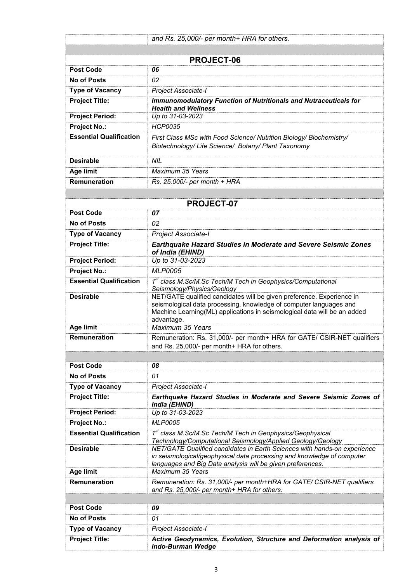|                                | and Rs. 25,000/- per month+ HRA for others.                                                                                                                                                                                           |
|--------------------------------|---------------------------------------------------------------------------------------------------------------------------------------------------------------------------------------------------------------------------------------|
|                                |                                                                                                                                                                                                                                       |
|                                | <b>PROJECT-06</b>                                                                                                                                                                                                                     |
| <b>Post Code</b>               | 06                                                                                                                                                                                                                                    |
| <b>No of Posts</b>             | 02                                                                                                                                                                                                                                    |
| <b>Type of Vacancy</b>         | Project Associate-I                                                                                                                                                                                                                   |
| <b>Project Title:</b>          | <b>Immunomodulatory Function of Nutritionals and Nutraceuticals for</b>                                                                                                                                                               |
|                                | <b>Health and Wellness</b>                                                                                                                                                                                                            |
| <b>Project Period:</b>         | Up to 31-03-2023                                                                                                                                                                                                                      |
| <b>Project No.:</b>            | <b>HCP0035</b>                                                                                                                                                                                                                        |
| <b>Essential Qualification</b> | First Class MSc with Food Science/ Nutrition Biology/ Biochemistry/<br>Biotechnology/Life Science/ Botany/Plant Taxonomy                                                                                                              |
| <b>Desirable</b>               | <b>NIL</b>                                                                                                                                                                                                                            |
| <b>Age limit</b>               | Maximum 35 Years                                                                                                                                                                                                                      |
| Remuneration                   | Rs. 25,000/- per month + HRA                                                                                                                                                                                                          |
|                                |                                                                                                                                                                                                                                       |
|                                | <b>PROJECT-07</b>                                                                                                                                                                                                                     |
| <b>Post Code</b>               | 07                                                                                                                                                                                                                                    |
| <b>No of Posts</b>             | 02                                                                                                                                                                                                                                    |
| <b>Type of Vacancy</b>         | Project Associate-I                                                                                                                                                                                                                   |
| <b>Project Title:</b>          | Earthquake Hazard Studies in Moderate and Severe Seismic Zones<br>of India (EHIND)                                                                                                                                                    |
| <b>Project Period:</b>         | Up to 31-03-2023                                                                                                                                                                                                                      |
| <b>Project No.:</b>            | <b>MLP0005</b>                                                                                                                                                                                                                        |
| <b>Essential Qualification</b> | 1st class M.Sc/M.Sc Tech/M Tech in Geophysics/Computational<br>Seismology/Physics/Geology                                                                                                                                             |
| <b>Desirable</b>               | NET/GATE qualified candidates will be given preference. Experience in<br>seismological data processing, knowledge of computer languages and<br>Machine Learning(ML) applications in seismological data will be an added<br>advantage. |
| <b>Age limit</b>               | Maximum 35 Years                                                                                                                                                                                                                      |
| Remuneration                   | Remuneration: Rs. 31,000/- per month+ HRA for GATE/ CSIR-NET qualifiers<br>and Rs. 25,000/- per month+ HRA for others.                                                                                                                |
|                                |                                                                                                                                                                                                                                       |
| <b>Post Code</b>               | 08                                                                                                                                                                                                                                    |
| <b>No of Posts</b>             | 01                                                                                                                                                                                                                                    |
| <b>Type of Vacancy</b>         | Project Associate-I                                                                                                                                                                                                                   |
| <b>Project Title:</b>          | Earthquake Hazard Studies in Moderate and Severe Seismic Zones of<br>India (EHIND)                                                                                                                                                    |
| <b>Project Period:</b>         | Up to 31-03-2023                                                                                                                                                                                                                      |
| <b>Project No.:</b>            | <b>MLP0005</b>                                                                                                                                                                                                                        |
| <b>Essential Qualification</b> | 1 <sup>st</sup> class M.Sc/M.Sc Tech/M Tech in Geophysics/Geophysical<br>Technology/Computational Seismology/Applied Geology/Geology                                                                                                  |
| <b>Desirable</b>               | NET/GATE Qualified candidates in Earth Sciences with hands-on experience<br>in seismological/geophysical data processing and knowledge of computer<br>languages and Big Data analysis will be given preferences.                      |
| Age limit                      | Maximum 35 Years                                                                                                                                                                                                                      |
| Remuneration                   | Remuneration: Rs. 31,000/- per month+HRA for GATE/ CSIR-NET qualifiers<br>and Rs. 25,000/- per month+ HRA for others.                                                                                                                 |
|                                |                                                                                                                                                                                                                                       |
| <b>Post Code</b>               | 09                                                                                                                                                                                                                                    |
| <b>No of Posts</b>             | 01                                                                                                                                                                                                                                    |
| <b>Type of Vacancy</b>         | Project Associate-I                                                                                                                                                                                                                   |
| <b>Project Title:</b>          | Active Geodynamics, Evolution, Structure and Deformation analysis of<br><b>Indo-Burman Wedge</b>                                                                                                                                      |